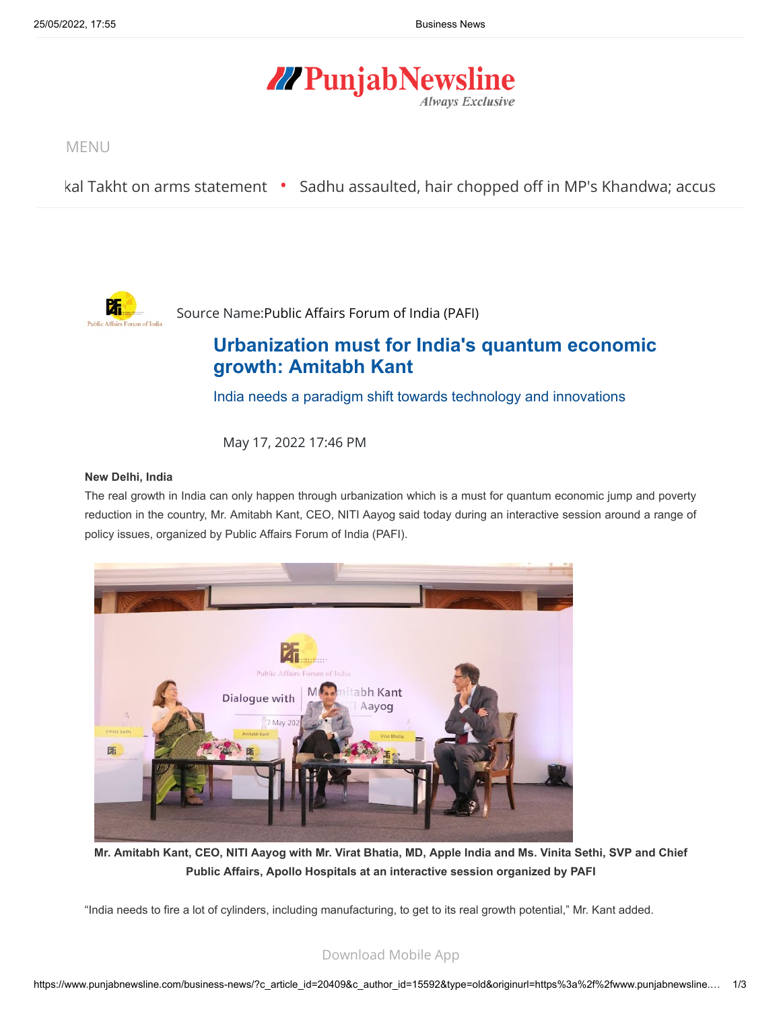# **//PunjabNewsline Always Exclusive**

MENU

[kal Takht on arms statement](https://www.punjabnewsline.com/news/bhai-ram-singh-supports-jathedar-akal-takht-on-arms-statement-43647) • [Sadhu assaulted, hair chopped off in MP's Khandwa; accus](https://www.punjabnewsline.com/news/sadhu-assaulted-hair-chopped-off-in-mps-khandwa-accused-arrested-43646)



Source Name[:Public Affairs Forum of India \(PAFI\)](https://pafi.in/)

## **[Urbanization must for India's quantum economic](https://www.punjabnewsline.com/business-news/?c_article_id=20409&c_author_id=15592&c_article_id=20409&c_author_id=15592&type=old&originurl=https%3A%2F%2Fwww.punjabnewsline.com%2Fbusiness-news%2F) growth: Amitabh Kant**

India needs a paradigm shift towards technology and innovations

May 17, 2022 17:46 PM

#### **New Delhi, India**

The real growth in India can only happen through urbanization which is a must for quantum economic jump and poverty reduction in the country, Mr. Amitabh Kant, CEO, NITI Aayog said today during an interactive session around a range of policy issues, organized by Public Affairs Forum of India (PAFI).



**Mr. Amitabh Kant, CEO, NITI Aayog with Mr. Virat Bhatia, MD, Apple India and Ms. Vinita Sethi, SVP and Chief Public Affairs, Apollo Hospitals at an interactive session organized by PAFI**

"India needs to fire a lot of cylinders, including manufacturing, to get to its real growth potential," Mr. Kant added.

### [Download Mobile App](https://play.google.com/store/apps/details?id=com.mit.punjabnewsline)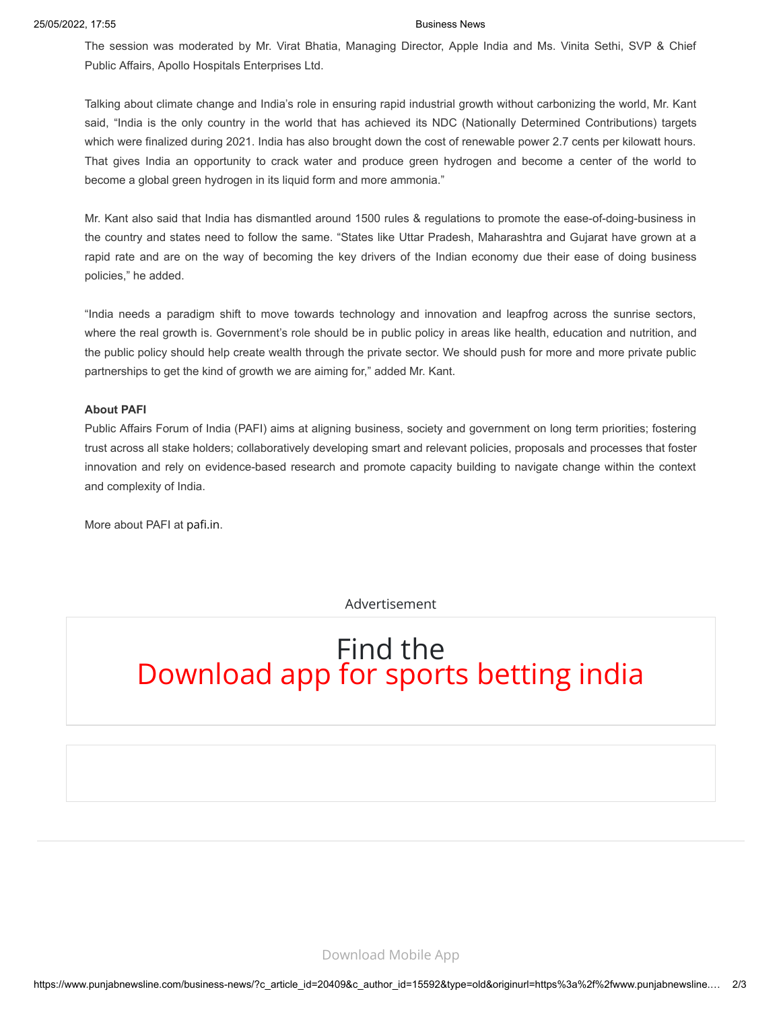The session was moderated by Mr. Virat Bhatia, Managing Director, Apple India and Ms. Vinita Sethi, SVP & Chief Public Affairs, Apollo Hospitals Enterprises Ltd.

Talking about climate change and India's role in ensuring rapid industrial growth without carbonizing the world, Mr. Kant said, "India is the only country in the world that has achieved its NDC (Nationally Determined Contributions) targets which were finalized during 2021. India has also brought down the cost of renewable power 2.7 cents per kilowatt hours. That gives India an opportunity to crack water and produce green hydrogen and become a center of the world to become a global green hydrogen in its liquid form and more ammonia."

Mr. Kant also said that India has dismantled around 1500 rules & regulations to promote the ease-of-doing-business in the country and states need to follow the same. "States like Uttar Pradesh, Maharashtra and Gujarat have grown at a rapid rate and are on the way of becoming the key drivers of the Indian economy due their ease of doing business policies," he added.

"India needs a paradigm shift to move towards technology and innovation and leapfrog across the sunrise sectors, where the real growth is. Government's role should be in public policy in areas like health, education and nutrition, and the public policy should help create wealth through the private sector. We should push for more and more private public partnerships to get the kind of growth we are aiming for," added Mr. Kant.

#### **About PAFI**

Public Affairs Forum of India (PAFI) aims at aligning business, society and government on long term priorities; fostering trust across all stake holders; collaboratively developing smart and relevant policies, proposals and processes that foster innovation and rely on evidence-based research and promote capacity building to navigate change within the context and complexity of India.

More about PAFI at [pafi.in](https://pafi.in/).

Advertisement

# Find the Download app for sports betting india

[Download Mobile App](https://play.google.com/store/apps/details?id=com.mit.punjabnewsline)